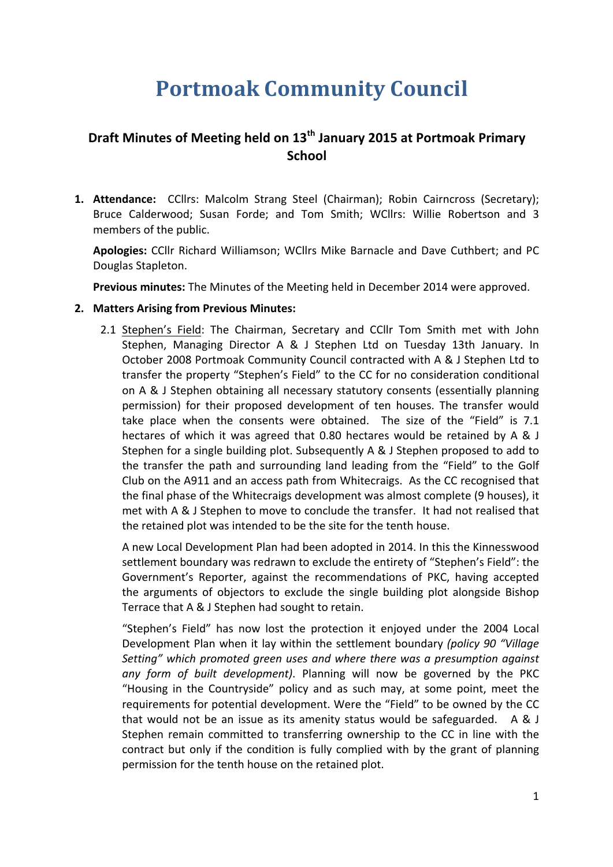# **Portmoak Community Council**

## **Draft Minutes of Meeting held on 13<sup>th</sup> January 2015 at Portmoak Primary School**

**1. Attendance:** CCllrs: Malcolm Strang Steel (Chairman); Robin Cairncross (Secretary); Bruce Calderwood; Susan Forde; and Tom Smith; WCllrs: Willie Robertson and 3 members of the public.

Apologies: CCllr Richard Williamson; WCllrs Mike Barnacle and Dave Cuthbert; and PC Douglas Stapleton.

**Previous minutes:** The Minutes of the Meeting held in December 2014 were approved.

#### **2. Matters Arising from Previous Minutes:**

2.1 Stephen's Field: The Chairman, Secretary and CCllr Tom Smith met with John Stephen, Managing Director A & J Stephen Ltd on Tuesday 13th January. In October 2008 Portmoak Community Council contracted with A & J Stephen Ltd to transfer the property "Stephen's Field" to the CC for no consideration conditional on A & J Stephen obtaining all necessary statutory consents (essentially planning permission) for their proposed development of ten houses. The transfer would take place when the consents were obtained. The size of the "Field" is 7.1 hectares of which it was agreed that 0.80 hectares would be retained by A & J Stephen for a single building plot. Subsequently A & J Stephen proposed to add to the transfer the path and surrounding land leading from the "Field" to the Golf Club on the A911 and an access path from Whitecraigs. As the CC recognised that the final phase of the Whitecraigs development was almost complete (9 houses), it met with  $A \& J$  Stephen to move to conclude the transfer. It had not realised that the retained plot was intended to be the site for the tenth house.

A new Local Development Plan had been adopted in 2014. In this the Kinnesswood settlement boundary was redrawn to exclude the entirety of "Stephen's Field": the Government's Reporter, against the recommendations of PKC, having accepted the arguments of objectors to exclude the single building plot alongside Bishop Terrace that A & J Stephen had sought to retain.

"Stephen's Field" has now lost the protection it enjoyed under the 2004 Local Development Plan when it lay within the settlement boundary *(policy 90 "Village Setting"* which promoted green uses and where there was a presumption against any form of built development). Planning will now be governed by the PKC "Housing in the Countryside" policy and as such may, at some point, meet the requirements for potential development. Were the "Field" to be owned by the CC that would not be an issue as its amenity status would be safeguarded.  $\overline{A} \otimes J$ Stephen remain committed to transferring ownership to the CC in line with the contract but only if the condition is fully complied with by the grant of planning permission for the tenth house on the retained plot.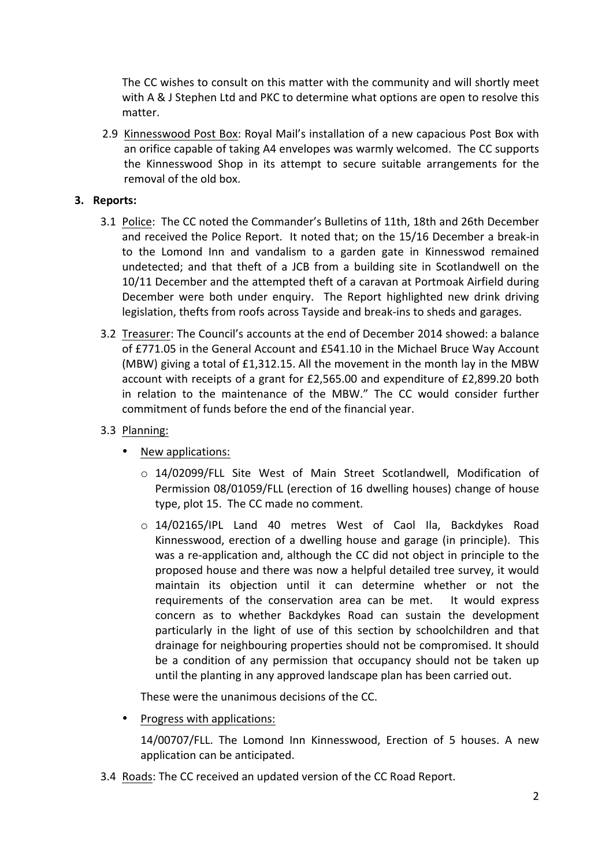The CC wishes to consult on this matter with the community and will shortly meet with A & J Stephen Ltd and PKC to determine what options are open to resolve this matter.

2.9 Kinnesswood Post Box: Royal Mail's installation of a new capacious Post Box with an orifice capable of taking A4 envelopes was warmly welcomed. The CC supports the Kinnesswood Shop in its attempt to secure suitable arrangements for the removal of the old box.

#### **3.** Reports:

- 3.1 Police: The CC noted the Commander's Bulletins of 11th, 18th and 26th December and received the Police Report. It noted that; on the 15/16 December a break-in to the Lomond Inn and vandalism to a garden gate in Kinnesswod remained undetected; and that theft of a JCB from a building site in Scotlandwell on the 10/11 December and the attempted theft of a caravan at Portmoak Airfield during December were both under enquiry. The Report highlighted new drink driving legislation, thefts from roofs across Tayside and break-ins to sheds and garages.
- 3.2 Treasurer: The Council's accounts at the end of December 2014 showed: a balance of £771.05 in the General Account and £541.10 in the Michael Bruce Way Account (MBW) giving a total of £1,312.15. All the movement in the month lay in the MBW account with receipts of a grant for  $£2,565.00$  and expenditure of  $£2,899.20$  both in relation to the maintenance of the MBW." The CC would consider further commitment of funds before the end of the financial year.
- 3.3 Planning:
	- New applications:
		- $\circ$  14/02099/FLL Site West of Main Street Scotlandwell, Modification of Permission 08/01059/FLL (erection of 16 dwelling houses) change of house type, plot 15. The CC made no comment.
		- $\circ$  14/02165/IPL Land 40 metres West of Caol Ila, Backdykes Road Kinnesswood, erection of a dwelling house and garage (in principle). This was a re-application and, although the CC did not object in principle to the proposed house and there was now a helpful detailed tree survey, it would maintain its objection until it can determine whether or not the requirements of the conservation area can be met. It would express concern as to whether Backdykes Road can sustain the development particularly in the light of use of this section by schoolchildren and that drainage for neighbouring properties should not be compromised. It should be a condition of any permission that occupancy should not be taken up until the planting in any approved landscape plan has been carried out.

These were the unanimous decisions of the CC.

• Progress with applications:

14/00707/FLL. The Lomond Inn Kinnesswood, Erection of 5 houses. A new application can be anticipated.

3.4 Roads: The CC received an updated version of the CC Road Report.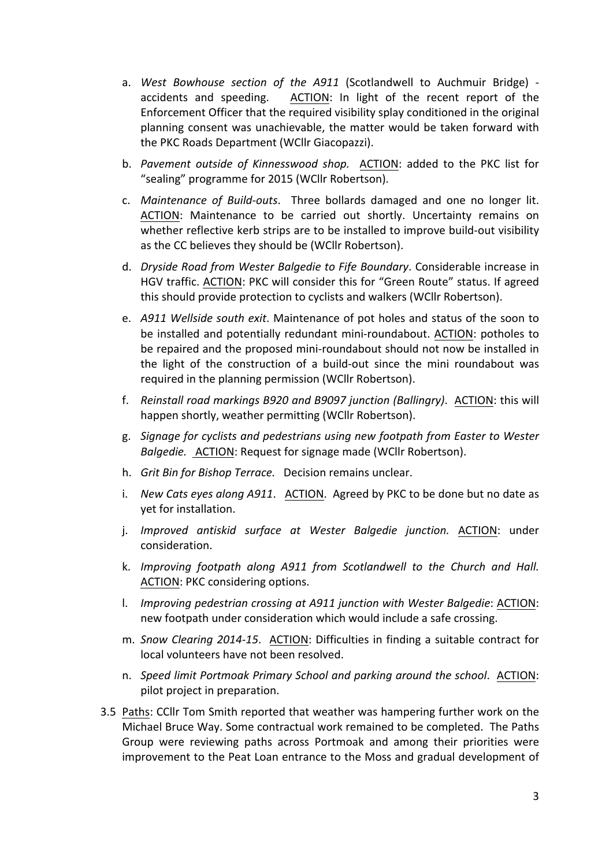- a. West Bowhouse section of the A911 (Scotlandwell to Auchmuir Bridge) accidents and speeding. ACTION: In light of the recent report of the Enforcement Officer that the required visibility splay conditioned in the original planning consent was unachievable, the matter would be taken forward with the PKC Roads Department (WCllr Giacopazzi).
- b. Pavement outside of Kinnesswood shop. ACTION: added to the PKC list for "sealing" programme for 2015 (WCllr Robertson).
- c. *Maintenance of Build-outs*. Three bollards damaged and one no longer lit. ACTION: Maintenance to be carried out shortly. Uncertainty remains on whether reflective kerb strips are to be installed to improve build-out visibility as the CC believes they should be (WCllr Robertson).
- d. *Dryside Road from Wester Balgedie to Fife Boundary*. Considerable increase in HGV traffic. ACTION: PKC will consider this for "Green Route" status. If agreed this should provide protection to cyclists and walkers (WCllr Robertson).
- e. *A911 Wellside south exit*. Maintenance of pot holes and status of the soon to be installed and potentially redundant mini-roundabout. ACTION: potholes to be repaired and the proposed mini-roundabout should not now be installed in the light of the construction of a build-out since the mini roundabout was required in the planning permission (WCllr Robertson).
- f. *Reinstall road markings B920 and B9097 junction (Ballingry).* ACTION: this will happen shortly, weather permitting (WCllr Robertson).
- g. Signage for cyclists and pedestrians using new footpath from Easter to Wester *Balgedie.* ACTION: Request for signage made (WCllr Robertson).
- h. *Grit Bin for Bishop Terrace.* Decision remains unclear.
- i. *New Cats eyes along A911.* ACTION. Agreed by PKC to be done but no date as yet for installation.
- j. *Improved antiskid surface at Wester Balgedie junction.* ACTION: under consideration.
- k. *Improving footpath along A911 from Scotlandwell to the Church and Hall.* ACTION: PKC considering options.
- l. *Improving pedestrian crossing at A911 junction with Wester Balgedie:* ACTION: new footpath under consideration which would include a safe crossing.
- m. *Snow Clearing 2014-15*. ACTION: Difficulties in finding a suitable contract for local volunteers have not been resolved.
- n. *Speed limit Portmoak Primary School and parking around the school.* ACTION: pilot project in preparation.
- 3.5 Paths: CCIIr Tom Smith reported that weather was hampering further work on the Michael Bruce Way. Some contractual work remained to be completed. The Paths Group were reviewing paths across Portmoak and among their priorities were improvement to the Peat Loan entrance to the Moss and gradual development of